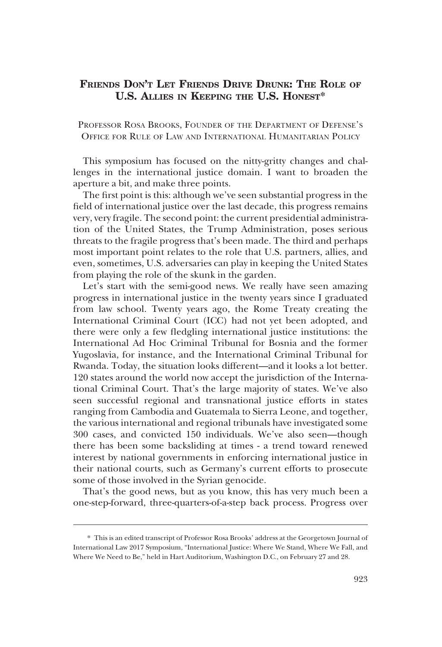## **FRIENDS DON'T LET FRIENDS DRIVE DRUNK: THE ROLE OF U.S. ALLIES IN KEEPING THE U.S. HONEST\***

PROFESSOR ROSA BROOKS, FOUNDER OF THE DEPARTMENT OF DEFENSE'S OFFICE FOR RULE OF LAW AND INTERNATIONAL HUMANITARIAN POLICY

This symposium has focused on the nitty-gritty changes and challenges in the international justice domain. I want to broaden the aperture a bit, and make three points.

The first point is this: although we've seen substantial progress in the field of international justice over the last decade, this progress remains very, very fragile. The second point: the current presidential administration of the United States, the Trump Administration, poses serious threats to the fragile progress that's been made. The third and perhaps most important point relates to the role that U.S. partners, allies, and even, sometimes, U.S. adversaries can play in keeping the United States from playing the role of the skunk in the garden.

Let's start with the semi-good news. We really have seen amazing progress in international justice in the twenty years since I graduated from law school. Twenty years ago, the Rome Treaty creating the International Criminal Court (ICC) had not yet been adopted, and there were only a few fledgling international justice institutions: the International Ad Hoc Criminal Tribunal for Bosnia and the former Yugoslavia, for instance, and the International Criminal Tribunal for Rwanda. Today, the situation looks different—and it looks a lot better. 120 states around the world now accept the jurisdiction of the International Criminal Court. That's the large majority of states. We've also seen successful regional and transnational justice efforts in states ranging from Cambodia and Guatemala to Sierra Leone, and together, the various international and regional tribunals have investigated some 300 cases, and convicted 150 individuals. We've also seen—though there has been some backsliding at times - a trend toward renewed interest by national governments in enforcing international justice in their national courts, such as Germany's current efforts to prosecute some of those involved in the Syrian genocide.

That's the good news, but as you know, this has very much been a one-step-forward, three-quarters-of-a-step back process. Progress over

<sup>\*</sup> This is an edited transcript of Professor Rosa Brooks' address at the Georgetown Journal of International Law 2017 Symposium, "International Justice: Where We Stand, Where We Fall, and Where We Need to Be," held in Hart Auditorium, Washington D.C., on February 27 and 28.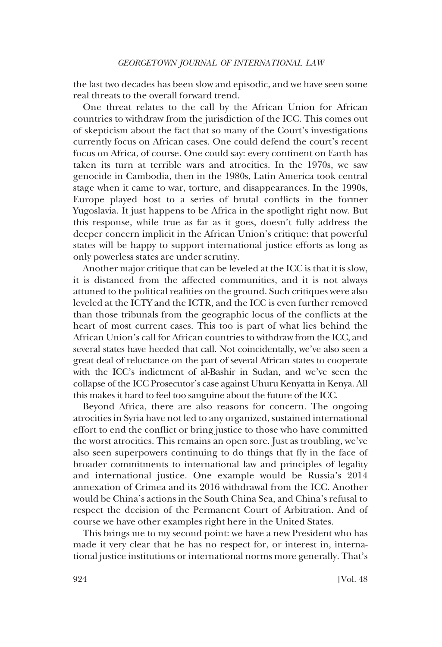the last two decades has been slow and episodic, and we have seen some real threats to the overall forward trend.

One threat relates to the call by the African Union for African countries to withdraw from the jurisdiction of the ICC. This comes out of skepticism about the fact that so many of the Court's investigations currently focus on African cases. One could defend the court's recent focus on Africa, of course. One could say: every continent on Earth has taken its turn at terrible wars and atrocities. In the 1970s, we saw genocide in Cambodia, then in the 1980s, Latin America took central stage when it came to war, torture, and disappearances. In the 1990s, Europe played host to a series of brutal conflicts in the former Yugoslavia. It just happens to be Africa in the spotlight right now. But this response, while true as far as it goes, doesn't fully address the deeper concern implicit in the African Union's critique: that powerful states will be happy to support international justice efforts as long as only powerless states are under scrutiny.

Another major critique that can be leveled at the ICC is that it is slow, it is distanced from the affected communities, and it is not always attuned to the political realities on the ground. Such critiques were also leveled at the ICTY and the ICTR, and the ICC is even further removed than those tribunals from the geographic locus of the conflicts at the heart of most current cases. This too is part of what lies behind the African Union's call for African countries to withdraw from the ICC, and several states have heeded that call. Not coincidentally, we've also seen a great deal of reluctance on the part of several African states to cooperate with the ICC's indictment of al-Bashir in Sudan, and we've seen the collapse of the ICC Prosecutor's case against Uhuru Kenyatta in Kenya. All this makes it hard to feel too sanguine about the future of the ICC.

Beyond Africa, there are also reasons for concern. The ongoing atrocities in Syria have not led to any organized, sustained international effort to end the conflict or bring justice to those who have committed the worst atrocities. This remains an open sore. Just as troubling, we've also seen superpowers continuing to do things that fly in the face of broader commitments to international law and principles of legality and international justice. One example would be Russia's 2014 annexation of Crimea and its 2016 withdrawal from the ICC. Another would be China's actions in the South China Sea, and China's refusal to respect the decision of the Permanent Court of Arbitration. And of course we have other examples right here in the United States.

This brings me to my second point: we have a new President who has made it very clear that he has no respect for, or interest in, international justice institutions or international norms more generally. That's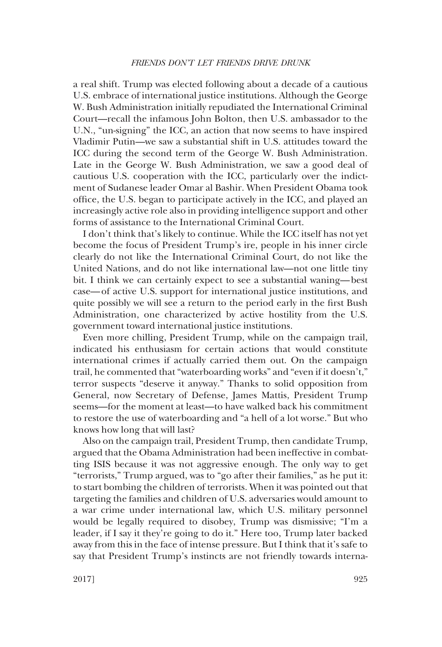## *FRIENDS DON'T LET FRIENDS DRIVE DRUNK*

a real shift. Trump was elected following about a decade of a cautious U.S. embrace of international justice institutions. Although the George W. Bush Administration initially repudiated the International Criminal Court—recall the infamous John Bolton, then U.S. ambassador to the U.N., "un-signing" the ICC, an action that now seems to have inspired Vladimir Putin—we saw a substantial shift in U.S. attitudes toward the ICC during the second term of the George W. Bush Administration. Late in the George W. Bush Administration, we saw a good deal of cautious U.S. cooperation with the ICC, particularly over the indictment of Sudanese leader Omar al Bashir. When President Obama took office, the U.S. began to participate actively in the ICC, and played an increasingly active role also in providing intelligence support and other forms of assistance to the International Criminal Court.

I don't think that's likely to continue. While the ICC itself has not yet become the focus of President Trump's ire, people in his inner circle clearly do not like the International Criminal Court, do not like the United Nations, and do not like international law—not one little tiny bit. I think we can certainly expect to see a substantial waning—best case—of active U.S. support for international justice institutions, and quite possibly we will see a return to the period early in the first Bush Administration, one characterized by active hostility from the U.S. government toward international justice institutions.

Even more chilling, President Trump, while on the campaign trail, indicated his enthusiasm for certain actions that would constitute international crimes if actually carried them out. On the campaign trail, he commented that "waterboarding works" and "even if it doesn't," terror suspects "deserve it anyway." Thanks to solid opposition from General, now Secretary of Defense, James Mattis, President Trump seems—for the moment at least—to have walked back his commitment to restore the use of waterboarding and "a hell of a lot worse." But who knows how long that will last?

Also on the campaign trail, President Trump, then candidate Trump, argued that the Obama Administration had been ineffective in combatting ISIS because it was not aggressive enough. The only way to get "terrorists," Trump argued, was to "go after their families," as he put it: to start bombing the children of terrorists. When it was pointed out that targeting the families and children of U.S. adversaries would amount to a war crime under international law, which U.S. military personnel would be legally required to disobey, Trump was dismissive; "I'm a leader, if I say it they're going to do it." Here too, Trump later backed away from this in the face of intense pressure. But I think that it's safe to say that President Trump's instincts are not friendly towards interna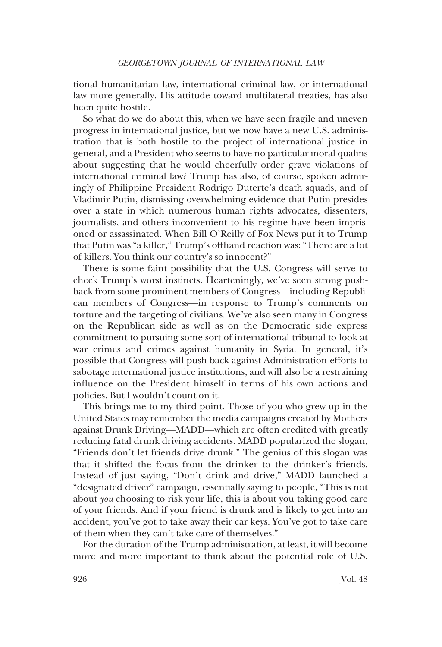tional humanitarian law, international criminal law, or international law more generally. His attitude toward multilateral treaties, has also been quite hostile.

So what do we do about this, when we have seen fragile and uneven progress in international justice, but we now have a new U.S. administration that is both hostile to the project of international justice in general, and a President who seems to have no particular moral qualms about suggesting that he would cheerfully order grave violations of international criminal law? Trump has also, of course, spoken admiringly of Philippine President Rodrigo Duterte's death squads, and of Vladimir Putin, dismissing overwhelming evidence that Putin presides over a state in which numerous human rights advocates, dissenters, journalists, and others inconvenient to his regime have been imprisoned or assassinated. When Bill O'Reilly of Fox News put it to Trump that Putin was "a killer," Trump's offhand reaction was: "There are a lot of killers. You think our country's so innocent?"

There is some faint possibility that the U.S. Congress will serve to check Trump's worst instincts. Hearteningly, we've seen strong pushback from some prominent members of Congress—including Republican members of Congress—in response to Trump's comments on torture and the targeting of civilians. We've also seen many in Congress on the Republican side as well as on the Democratic side express commitment to pursuing some sort of international tribunal to look at war crimes and crimes against humanity in Syria. In general, it's possible that Congress will push back against Administration efforts to sabotage international justice institutions, and will also be a restraining influence on the President himself in terms of his own actions and policies. But I wouldn't count on it.

This brings me to my third point. Those of you who grew up in the United States may remember the media campaigns created by Mothers against Drunk Driving—MADD—which are often credited with greatly reducing fatal drunk driving accidents. MADD popularized the slogan, "Friends don't let friends drive drunk." The genius of this slogan was that it shifted the focus from the drinker to the drinker's friends. Instead of just saying, "Don't drink and drive," MADD launched a "designated driver" campaign, essentially saying to people, "This is not about *you* choosing to risk your life, this is about you taking good care of your friends. And if your friend is drunk and is likely to get into an accident, you've got to take away their car keys. You've got to take care of them when they can't take care of themselves."

For the duration of the Trump administration, at least, it will become more and more important to think about the potential role of U.S.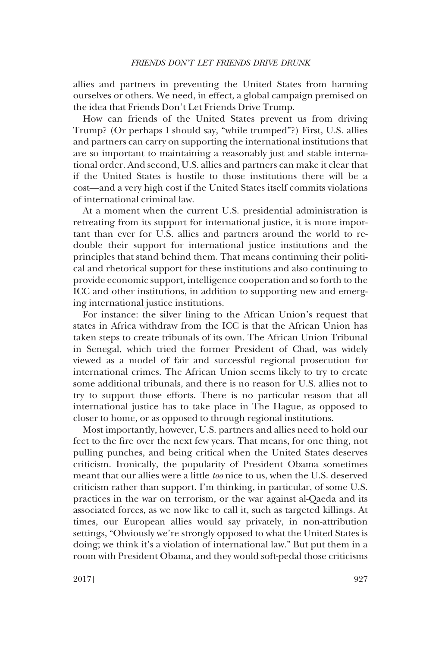allies and partners in preventing the United States from harming ourselves or others. We need, in effect, a global campaign premised on the idea that Friends Don't Let Friends Drive Trump.

How can friends of the United States prevent us from driving Trump? (Or perhaps I should say, "while trumped"?) First, U.S. allies and partners can carry on supporting the international institutions that are so important to maintaining a reasonably just and stable international order. And second, U.S. allies and partners can make it clear that if the United States is hostile to those institutions there will be a cost—and a very high cost if the United States itself commits violations of international criminal law.

At a moment when the current U.S. presidential administration is retreating from its support for international justice, it is more important than ever for U.S. allies and partners around the world to redouble their support for international justice institutions and the principles that stand behind them. That means continuing their political and rhetorical support for these institutions and also continuing to provide economic support, intelligence cooperation and so forth to the ICC and other institutions, in addition to supporting new and emerging international justice institutions.

For instance: the silver lining to the African Union's request that states in Africa withdraw from the ICC is that the African Union has taken steps to create tribunals of its own. The African Union Tribunal in Senegal, which tried the former President of Chad, was widely viewed as a model of fair and successful regional prosecution for international crimes. The African Union seems likely to try to create some additional tribunals, and there is no reason for U.S. allies not to try to support those efforts. There is no particular reason that all international justice has to take place in The Hague, as opposed to closer to home, or as opposed to through regional institutions.

Most importantly, however, U.S. partners and allies need to hold our feet to the fire over the next few years. That means, for one thing, not pulling punches, and being critical when the United States deserves criticism. Ironically, the popularity of President Obama sometimes meant that our allies were a little *too* nice to us, when the U.S. deserved criticism rather than support. I'm thinking, in particular, of some U.S. practices in the war on terrorism, or the war against al-Qaeda and its associated forces, as we now like to call it, such as targeted killings. At times, our European allies would say privately, in non-attribution settings, "Obviously we're strongly opposed to what the United States is doing; we think it's a violation of international law." But put them in a room with President Obama, and they would soft-pedal those criticisms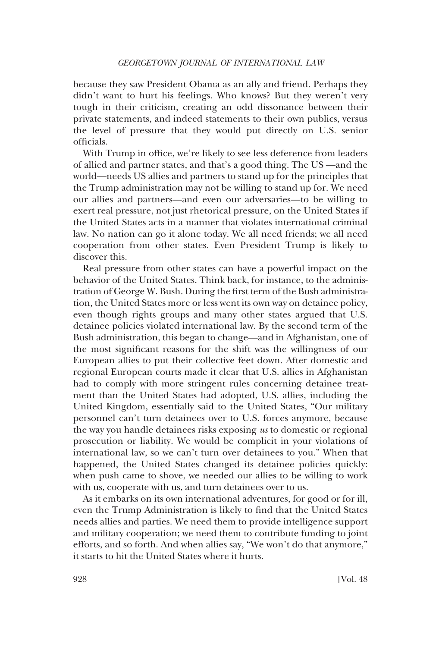because they saw President Obama as an ally and friend. Perhaps they didn't want to hurt his feelings. Who knows? But they weren't very tough in their criticism, creating an odd dissonance between their private statements, and indeed statements to their own publics, versus the level of pressure that they would put directly on U.S. senior officials.

With Trump in office, we're likely to see less deference from leaders of allied and partner states, and that's a good thing. The US —and the world—needs US allies and partners to stand up for the principles that the Trump administration may not be willing to stand up for. We need our allies and partners—and even our adversaries—to be willing to exert real pressure, not just rhetorical pressure, on the United States if the United States acts in a manner that violates international criminal law. No nation can go it alone today. We all need friends; we all need cooperation from other states. Even President Trump is likely to discover this.

Real pressure from other states can have a powerful impact on the behavior of the United States. Think back, for instance, to the administration of George W. Bush. During the first term of the Bush administration, the United States more or less went its own way on detainee policy, even though rights groups and many other states argued that U.S. detainee policies violated international law. By the second term of the Bush administration, this began to change—and in Afghanistan, one of the most significant reasons for the shift was the willingness of our European allies to put their collective feet down. After domestic and regional European courts made it clear that U.S. allies in Afghanistan had to comply with more stringent rules concerning detainee treatment than the United States had adopted, U.S. allies, including the United Kingdom, essentially said to the United States, "Our military personnel can't turn detainees over to U.S. forces anymore, because the way you handle detainees risks exposing *us* to domestic or regional prosecution or liability. We would be complicit in your violations of international law, so we can't turn over detainees to you." When that happened, the United States changed its detainee policies quickly: when push came to shove, we needed our allies to be willing to work with us, cooperate with us, and turn detainees over to us.

As it embarks on its own international adventures, for good or for ill, even the Trump Administration is likely to find that the United States needs allies and parties. We need them to provide intelligence support and military cooperation; we need them to contribute funding to joint efforts, and so forth. And when allies say, "We won't do that anymore," it starts to hit the United States where it hurts.